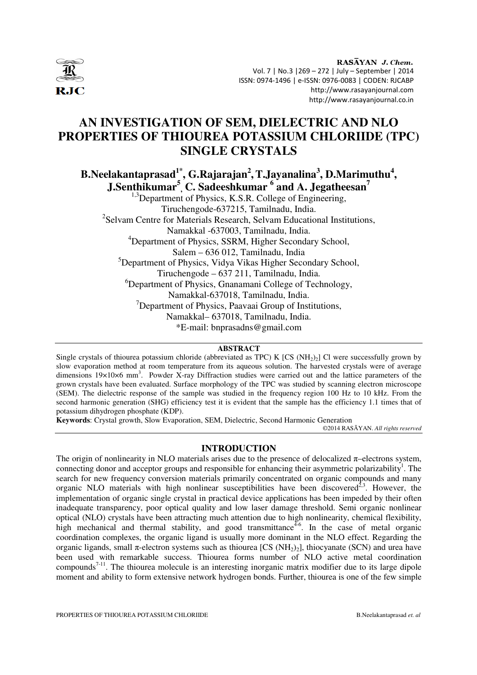

RASAYAN J. Chem. Vol. 7 | No.3 |269 – 272 | July – September | 2014 ISSN: 0974-1496 | e-ISSN: 0976-0083 | CODEN: RJCABP http://www.rasayanjournal.com http://www.rasayanjournal.co.in

# **AN INVESTIGATION OF SEM, DIELECTRIC AND NLO PROPERTIES OF THIOUREA POTASSIUM CHLORIIDE (TPC) SINGLE CRYSTALS**

**B.Neelakantaprasad1\*, G.Rajarajan<sup>2</sup> ,T.Jayanalina<sup>3</sup> , D.Marimuthu<sup>4</sup> , J.Senthikumar<sup>5</sup> , C. Sadeeshkumar <sup>6</sup> and A. Jegatheesan<sup>7</sup>**

<sup>1,3</sup>Department of Physics, K.S.R. College of Engineering, Tiruchengode-637215, Tamilnadu, India. <sup>2</sup>Selvam Centre for Materials Research, Selvam Educational Institutions, Namakkal -637003, Tamilnadu, India. <sup>4</sup>Department of Physics, SSRM, Higher Secondary School, Salem – 636 012, Tamilnadu, India <sup>5</sup>Department of Physics, Vidya Vikas Higher Secondary School, Tiruchengode – 637 211, Tamilnadu, India. <sup>6</sup>Department of Physics, Gnanamani College of Technology, Namakkal-637018, Tamilnadu, India.  $7$ Department of Physics, Paavaai Group of Institutions, Namakkal– 637018, Tamilnadu, India. \*E-mail: bnprasadns@gmail.com

#### **ABSTRACT**

Single crystals of thiourea potassium chloride (abbreviated as TPC) K [CS ( $NH<sub>2</sub>$ )<sub>2</sub>] Cl were successfully grown by slow evaporation method at room temperature from its aqueous solution. The harvested crystals were of average dimensions 19×10×6 mm<sup>3</sup>. Powder X-ray Diffraction studies were carried out and the lattice parameters of the grown crystals have been evaluated. Surface morphology of the TPC was studied by scanning electron microscope (SEM). The dielectric response of the sample was studied in the frequency region 100 Hz to 10 kHz. From the second harmonic generation (SHG) efficiency test it is evident that the sample has the efficiency 1.1 times that of potassium dihydrogen phosphate (KDP).

**Keywords**: Crystal growth, Slow Evaporation, SEM, Dielectric, Second Harmonic Generation

©2014 RASĀYAN. *All rights reserved*

## **INTRODUCTION**

The origin of nonlinearity in NLO materials arises due to the presence of delocalized π–electrons system, connecting donor and acceptor groups and responsible for enhancing their asymmetric polarizability<sup>1</sup>. The search for new frequency conversion materials primarily concentrated on organic compounds and many organic NLO materials with high nonlinear susceptibilities have been discovered<sup>2,3</sup>. However, the implementation of organic single crystal in practical device applications has been impeded by their often inadequate transparency, poor optical quality and low laser damage threshold. Semi organic nonlinear optical (NLO) crystals have been attracting much attention due to high nonlinearity, chemical flexibility, high mechanical and thermal stability, and good transmittance<sup>4-6</sup>. In the case of metal organic coordination complexes, the organic ligand is usually more dominant in the NLO effect. Regarding the organic ligands, small π-electron systems such as thiourea [CS (NH<sub>2</sub>)<sub>2</sub>], thiocyanate (SCN) and urea have been used with remarkable success. Thiourea forms number of NLO active metal coordination compounds<sup>7-11</sup>. The thiourea molecule is an interesting inorganic matrix modifier due to its large dipole moment and ability to form extensive network hydrogen bonds. Further, thiourea is one of the few simple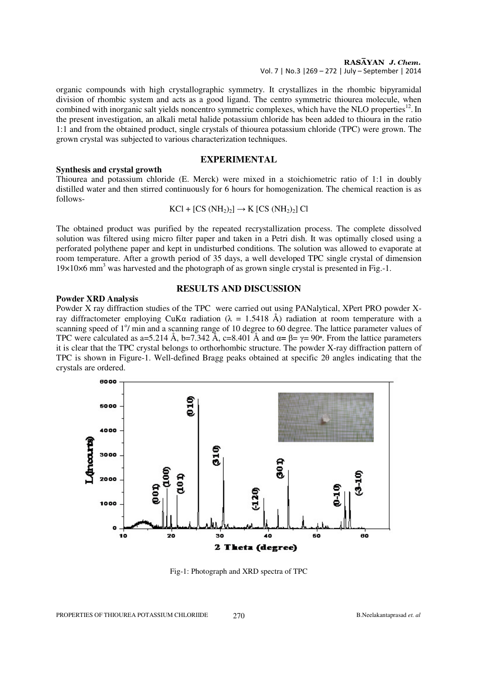#### RASAYAN J. Chem. Vol. 7 | No.3 |269 – 272 | July – September | 2014

organic compounds with high crystallographic symmetry. It crystallizes in the rhombic bipyramidal division of rhombic system and acts as a good ligand. The centro symmetric thiourea molecule, when combined with inorganic salt yields noncentro symmetric complexes, which have the NLO properties<sup>12</sup>. In the present investigation, an alkali metal halide potassium chloride has been added to thioura in the ratio 1:1 and from the obtained product, single crystals of thiourea potassium chloride (TPC) were grown. The grown crystal was subjected to various characterization techniques.

# **EXPERIMENTAL**

## **Synthesis and crystal growth**

Thiourea and potassium chloride (E. Merck) were mixed in a stoichiometric ratio of 1:1 in doubly distilled water and then stirred continuously for 6 hours for homogenization. The chemical reaction is as follows-

$$
KCl + [CS (NH2)2] \rightarrow K [CS (NH2)2] Cl
$$

The obtained product was purified by the repeated recrystallization process. The complete dissolved solution was filtered using micro filter paper and taken in a Petri dish. It was optimally closed using a perforated polythene paper and kept in undisturbed conditions. The solution was allowed to evaporate at room temperature. After a growth period of 35 days, a well developed TPC single crystal of dimension 19×10×6 mm<sup>3</sup> was harvested and the photograph of as grown single crystal is presented in Fig.-1.

#### **Powder XRD Analysis**

#### **RESULTS AND DISCUSSION**

Powder X ray diffraction studies of the TPC were carried out using PANalytical, XPert PRO powder Xray diffractometer employing CuKα radiation (λ = 1.5418 Å) radiation at room temperature with a scanning speed of 1<sup>o</sup>/ min and a scanning range of 10 degree to 60 degree. The lattice parameter values of TPC were calculated as a=5.214 Å, b=7.342 Å, c=8.401 Å and  $\alpha = \beta = \gamma = 90^\circ$ . From the lattice parameters it is clear that the TPC crystal belongs to orthorhombic structure. The powder X-ray diffraction pattern of TPC is shown in Figure-1. Well-defined Bragg peaks obtained at specific 2θ angles indicating that the crystals are ordered.



Fig-1: Photograph and XRD spectra of TPC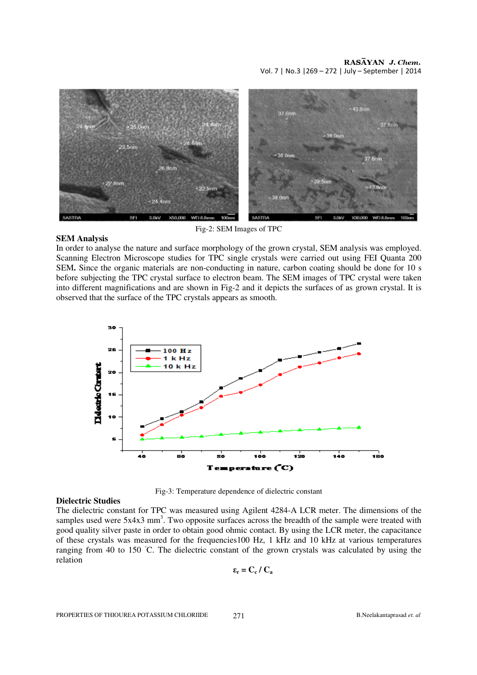

Fig-2: SEM Images of TPC

# **SEM Analysis**

In order to analyse the nature and surface morphology of the grown crystal, SEM analysis was employed. Scanning Electron Microscope studies for TPC single crystals were carried out using FEI Quanta 200 SEM**.** Since the organic materials are non-conducting in nature, carbon coating should be done for 10 s before subjecting the TPC crystal surface to electron beam. The SEM images of TPC crystal were taken into different magnifications and are shown in Fig-2 and it depicts the surfaces of as grown crystal. It is observed that the surface of the TPC crystals appears as smooth.



# **Dielectric Studies**

Fig-3: Temperature dependence of dielectric constant

The dielectric constant for TPC was measured using Agilent 4284-A LCR meter. The dimensions of the samples used were  $5x4x3$  mm<sup>3</sup>. Two opposite surfaces across the breadth of the sample were treated with good quality silver paste in order to obtain good ohmic contact. By using the LCR meter, the capacitance of these crystals was measured for the frequencies100 Hz, 1 kHz and 10 kHz at various temperatures ranging from 40 to 150 ◦C. The dielectric constant of the grown crystals was calculated by using the relation

$$
\epsilon_{\rm r} = C_{\rm c}\,/\,C_{\rm a}
$$